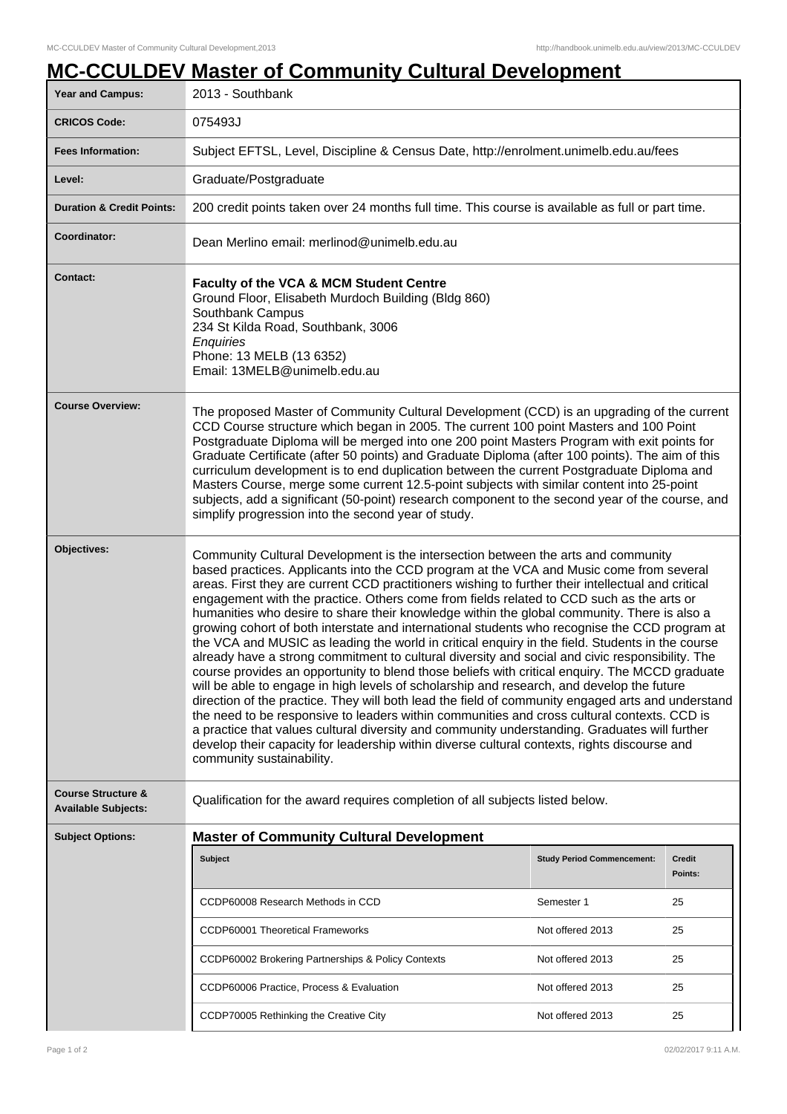|                                                             | <b>MC-CCULDEV Master of Community Cultural Development</b>                                                                                                                                                                                                                                                                                                                                                                                                                                                                                                                                                                                                                                                                                                                                                                                                                                                                                                                                                                                                                                                                                                                                                                                                                                                                                                                                                            |                                   |                          |  |
|-------------------------------------------------------------|-----------------------------------------------------------------------------------------------------------------------------------------------------------------------------------------------------------------------------------------------------------------------------------------------------------------------------------------------------------------------------------------------------------------------------------------------------------------------------------------------------------------------------------------------------------------------------------------------------------------------------------------------------------------------------------------------------------------------------------------------------------------------------------------------------------------------------------------------------------------------------------------------------------------------------------------------------------------------------------------------------------------------------------------------------------------------------------------------------------------------------------------------------------------------------------------------------------------------------------------------------------------------------------------------------------------------------------------------------------------------------------------------------------------------|-----------------------------------|--------------------------|--|
| Year and Campus:                                            | 2013 - Southbank                                                                                                                                                                                                                                                                                                                                                                                                                                                                                                                                                                                                                                                                                                                                                                                                                                                                                                                                                                                                                                                                                                                                                                                                                                                                                                                                                                                                      |                                   |                          |  |
| <b>CRICOS Code:</b>                                         | 075493J                                                                                                                                                                                                                                                                                                                                                                                                                                                                                                                                                                                                                                                                                                                                                                                                                                                                                                                                                                                                                                                                                                                                                                                                                                                                                                                                                                                                               |                                   |                          |  |
| <b>Fees Information:</b>                                    | Subject EFTSL, Level, Discipline & Census Date, http://enrolment.unimelb.edu.au/fees                                                                                                                                                                                                                                                                                                                                                                                                                                                                                                                                                                                                                                                                                                                                                                                                                                                                                                                                                                                                                                                                                                                                                                                                                                                                                                                                  |                                   |                          |  |
| Level:                                                      | Graduate/Postgraduate                                                                                                                                                                                                                                                                                                                                                                                                                                                                                                                                                                                                                                                                                                                                                                                                                                                                                                                                                                                                                                                                                                                                                                                                                                                                                                                                                                                                 |                                   |                          |  |
| <b>Duration &amp; Credit Points:</b>                        | 200 credit points taken over 24 months full time. This course is available as full or part time.                                                                                                                                                                                                                                                                                                                                                                                                                                                                                                                                                                                                                                                                                                                                                                                                                                                                                                                                                                                                                                                                                                                                                                                                                                                                                                                      |                                   |                          |  |
| Coordinator:                                                | Dean Merlino email: merlinod@unimelb.edu.au                                                                                                                                                                                                                                                                                                                                                                                                                                                                                                                                                                                                                                                                                                                                                                                                                                                                                                                                                                                                                                                                                                                                                                                                                                                                                                                                                                           |                                   |                          |  |
| <b>Contact:</b>                                             | <b>Faculty of the VCA &amp; MCM Student Centre</b><br>Ground Floor, Elisabeth Murdoch Building (Bldg 860)<br>Southbank Campus<br>234 St Kilda Road, Southbank, 3006<br>Enquiries<br>Phone: 13 MELB (13 6352)<br>Email: 13MELB@unimelb.edu.au                                                                                                                                                                                                                                                                                                                                                                                                                                                                                                                                                                                                                                                                                                                                                                                                                                                                                                                                                                                                                                                                                                                                                                          |                                   |                          |  |
| <b>Course Overview:</b>                                     | The proposed Master of Community Cultural Development (CCD) is an upgrading of the current<br>CCD Course structure which began in 2005. The current 100 point Masters and 100 Point<br>Postgraduate Diploma will be merged into one 200 point Masters Program with exit points for<br>Graduate Certificate (after 50 points) and Graduate Diploma (after 100 points). The aim of this<br>curriculum development is to end duplication between the current Postgraduate Diploma and<br>Masters Course, merge some current 12.5-point subjects with similar content into 25-point<br>subjects, add a significant (50-point) research component to the second year of the course, and<br>simplify progression into the second year of study.                                                                                                                                                                                                                                                                                                                                                                                                                                                                                                                                                                                                                                                                             |                                   |                          |  |
| Objectives:                                                 | Community Cultural Development is the intersection between the arts and community<br>based practices. Applicants into the CCD program at the VCA and Music come from several<br>areas. First they are current CCD practitioners wishing to further their intellectual and critical<br>engagement with the practice. Others come from fields related to CCD such as the arts or<br>humanities who desire to share their knowledge within the global community. There is also a<br>growing cohort of both interstate and international students who recognise the CCD program at<br>the VCA and MUSIC as leading the world in critical enquiry in the field. Students in the course<br>already have a strong commitment to cultural diversity and social and civic responsibility. The<br>course provides an opportunity to blend those beliefs with critical enquiry. The MCCD graduate<br>will be able to engage in high levels of scholarship and research, and develop the future<br>direction of the practice. They will both lead the field of community engaged arts and understand<br>the need to be responsive to leaders within communities and cross cultural contexts. CCD is<br>a practice that values cultural diversity and community understanding. Graduates will further<br>develop their capacity for leadership within diverse cultural contexts, rights discourse and<br>community sustainability. |                                   |                          |  |
| <b>Course Structure &amp;</b><br><b>Available Subjects:</b> | Qualification for the award requires completion of all subjects listed below.                                                                                                                                                                                                                                                                                                                                                                                                                                                                                                                                                                                                                                                                                                                                                                                                                                                                                                                                                                                                                                                                                                                                                                                                                                                                                                                                         |                                   |                          |  |
| <b>Subject Options:</b>                                     | <b>Master of Community Cultural Development</b>                                                                                                                                                                                                                                                                                                                                                                                                                                                                                                                                                                                                                                                                                                                                                                                                                                                                                                                                                                                                                                                                                                                                                                                                                                                                                                                                                                       |                                   |                          |  |
|                                                             | <b>Subject</b>                                                                                                                                                                                                                                                                                                                                                                                                                                                                                                                                                                                                                                                                                                                                                                                                                                                                                                                                                                                                                                                                                                                                                                                                                                                                                                                                                                                                        | <b>Study Period Commencement:</b> | <b>Credit</b><br>Points: |  |
|                                                             | CCDP60008 Research Methods in CCD                                                                                                                                                                                                                                                                                                                                                                                                                                                                                                                                                                                                                                                                                                                                                                                                                                                                                                                                                                                                                                                                                                                                                                                                                                                                                                                                                                                     | Semester 1                        | 25                       |  |
|                                                             | CCDP60001 Theoretical Frameworks                                                                                                                                                                                                                                                                                                                                                                                                                                                                                                                                                                                                                                                                                                                                                                                                                                                                                                                                                                                                                                                                                                                                                                                                                                                                                                                                                                                      | Not offered 2013                  | 25                       |  |
|                                                             | CCDP60002 Brokering Partnerships & Policy Contexts                                                                                                                                                                                                                                                                                                                                                                                                                                                                                                                                                                                                                                                                                                                                                                                                                                                                                                                                                                                                                                                                                                                                                                                                                                                                                                                                                                    | Not offered 2013                  | 25                       |  |
|                                                             | CCDP60006 Practice, Process & Evaluation                                                                                                                                                                                                                                                                                                                                                                                                                                                                                                                                                                                                                                                                                                                                                                                                                                                                                                                                                                                                                                                                                                                                                                                                                                                                                                                                                                              | Not offered 2013                  | 25                       |  |
|                                                             |                                                                                                                                                                                                                                                                                                                                                                                                                                                                                                                                                                                                                                                                                                                                                                                                                                                                                                                                                                                                                                                                                                                                                                                                                                                                                                                                                                                                                       |                                   |                          |  |
|                                                             | CCDP70005 Rethinking the Creative City                                                                                                                                                                                                                                                                                                                                                                                                                                                                                                                                                                                                                                                                                                                                                                                                                                                                                                                                                                                                                                                                                                                                                                                                                                                                                                                                                                                | Not offered 2013                  | 25                       |  |